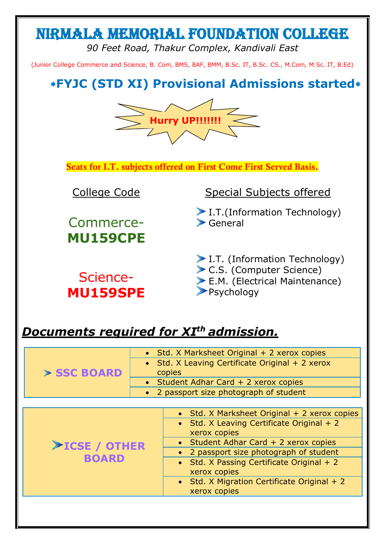# Nirmala Memorial Foundation College

*90 Feet Road, Thakur Complex, Kandivali East*

(Junior College Commerce and Science, B. Com, BMS, BAF, BMM, B.Sc. IT, B.Sc. CS., M.Com, M.Sc. IT, B.Ed)

## **FYJC (STD XI) Provisional Admissions started**



**Seats for I.T. subjects offered on First Come First Served Basis.**

Commerce-**MU159CPE**

Science-**MU159SPE**

### College Code Special Subjects offered

I.T.(Information Technology) General

- I.T. (Information Technology)
- C.S. (Computer Science)
- E.M. (Electrical Maintenance)

**Psychology** 

### *Documents required for XI th admission.*

| > SSC BOARD         | • Std. X Marksheet Original + 2 xerox copies    |  |  |
|---------------------|-------------------------------------------------|--|--|
|                     | • Std. X Leaving Certificate Original + 2 xerox |  |  |
|                     | copies                                          |  |  |
|                     | • Student Adhar Card $+$ 2 xerox copies         |  |  |
|                     | 2 passport size photograph of student           |  |  |
|                     |                                                 |  |  |
|                     | • Std. X Marksheet Original + 2 xerox copies    |  |  |
|                     | • Std. X Leaving Certificate Original + 2       |  |  |
|                     | xerox copies                                    |  |  |
| $\geq$ ICSE / OTHER | • Student Adhar Card + 2 xerox copies           |  |  |
|                     | • 2 passport size photograph of student         |  |  |
| <b>BOARD</b>        | • Std. X Passing Certificate Original + 2       |  |  |
|                     | xerox copies                                    |  |  |
|                     | • Std. X Migration Certificate Original $+2$    |  |  |
|                     | xerox copies                                    |  |  |
|                     |                                                 |  |  |